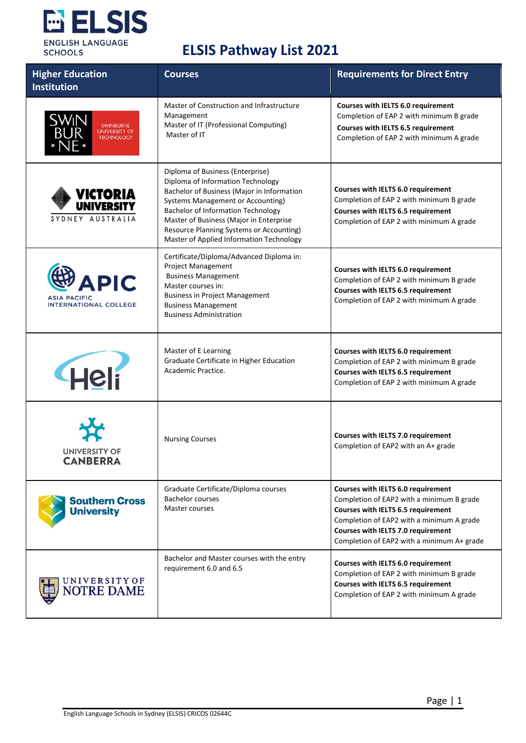

| <b>Higher Education</b><br><b>Institution</b>                      | <b>Courses</b>                                                                                                                                                                                                                                                                                                                           | <b>Requirements for Direct Entry</b>                                                                                                                                                                                                                   |
|--------------------------------------------------------------------|------------------------------------------------------------------------------------------------------------------------------------------------------------------------------------------------------------------------------------------------------------------------------------------------------------------------------------------|--------------------------------------------------------------------------------------------------------------------------------------------------------------------------------------------------------------------------------------------------------|
| SWINBURNE<br>UNIVERSITY OF<br>TECHNOLOGY                           | Master of Construction and Infrastructure<br>Management<br>Master of IT (Professional Computing)<br>Master of IT                                                                                                                                                                                                                         | <b>Courses with IELTS 6.0 requirement</b><br>Completion of EAP 2 with minimum B grade<br><b>Courses with IELTS 6.5 requirement</b><br>Completion of EAP 2 with minimum A grade                                                                         |
| VICTORIA<br>UNIVERSITY<br>SYDNEY AUSTRALIA                         | Diploma of Business (Enterprise)<br>Diploma of Information Technology<br>Bachelor of Business (Major in Information<br>Systems Management or Accounting)<br><b>Bachelor of Information Technology</b><br>Master of Business (Major in Enterprise<br>Resource Planning Systems or Accounting)<br>Master of Applied Information Technology | Courses with IELTS 6.0 requirement<br>Completion of EAP 2 with minimum B grade<br>Courses with IELTS 6.5 requirement<br>Completion of EAP 2 with minimum A grade                                                                                       |
| <b>APIC</b><br><b>ASIA PACIFIC</b><br><b>INTERNATIONAL COLLEGE</b> | Certificate/Diploma/Advanced Diploma in:<br>Project Management<br><b>Business Management</b><br>Master courses in:<br><b>Business in Project Management</b><br><b>Business Management</b><br><b>Business Administration</b>                                                                                                              | Courses with IELTS 6.0 requirement<br>Completion of EAP 2 with minimum B grade<br>Courses with IELTS 6.5 requirement<br>Completion of EAP 2 with minimum A grade                                                                                       |
| Heli                                                               | Master of E Learning<br>Graduate Certificate in Higher Education<br>Academic Practice.                                                                                                                                                                                                                                                   | Courses with IELTS 6.0 requirement<br>Completion of EAP 2 with minimum B grade<br>Courses with IELTS 6.5 requirement<br>Completion of EAP 2 with minimum A grade                                                                                       |
| UNIVERSITY OF<br>CANBERRA                                          | <b>Nursing Courses</b>                                                                                                                                                                                                                                                                                                                   | Courses with IELTS 7.0 requirement<br>Completion of EAP2 with an A+ grade                                                                                                                                                                              |
| <b>Southern Cross</b><br><b>University</b>                         | Graduate Certificate/Diploma courses<br><b>Bachelor courses</b><br>Master courses                                                                                                                                                                                                                                                        | Courses with IELTS 6.0 requirement<br>Completion of EAP2 with a minimum B grade<br>Courses with IELTS 6.5 requirement<br>Completion of EAP2 with a minimum A grade<br>Courses with IELTS 7.0 requirement<br>Completion of EAP2 with a minimum A+ grade |
| U N I V E R S I T Y O F<br><b>NOTRE DAME</b>                       | Bachelor and Master courses with the entry<br>requirement 6.0 and 6.5                                                                                                                                                                                                                                                                    | Courses with IELTS 6.0 requirement<br>Completion of EAP 2 with minimum B grade<br>Courses with IELTS 6.5 requirement<br>Completion of EAP 2 with minimum A grade                                                                                       |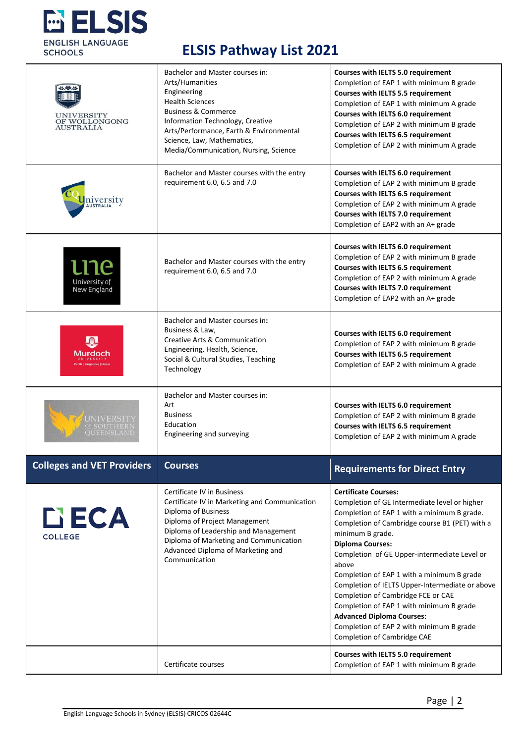

| <b>UNIVERSITY</b><br>OF WOLLONGONG<br><b>AUSTRALIA</b> | Bachelor and Master courses in:<br>Arts/Humanities<br>Engineering<br><b>Health Sciences</b><br><b>Business &amp; Commerce</b><br>Information Technology, Creative<br>Arts/Performance, Earth & Environmental<br>Science, Law, Mathematics,<br>Media/Communication, Nursing, Science | Courses with IELTS 5.0 requirement<br>Completion of EAP 1 with minimum B grade<br>Courses with IELTS 5.5 requirement<br>Completion of EAP 1 with minimum A grade<br>Courses with IELTS 6.0 requirement<br>Completion of EAP 2 with minimum B grade<br>Courses with IELTS 6.5 requirement<br>Completion of EAP 2 with minimum A grade                                                                                                                                                                                                                                                    |
|--------------------------------------------------------|-------------------------------------------------------------------------------------------------------------------------------------------------------------------------------------------------------------------------------------------------------------------------------------|-----------------------------------------------------------------------------------------------------------------------------------------------------------------------------------------------------------------------------------------------------------------------------------------------------------------------------------------------------------------------------------------------------------------------------------------------------------------------------------------------------------------------------------------------------------------------------------------|
| niversity<br><sup>AUSTRALIA</sup>                      | Bachelor and Master courses with the entry<br>requirement 6.0, 6.5 and 7.0                                                                                                                                                                                                          | Courses with IELTS 6.0 requirement<br>Completion of EAP 2 with minimum B grade<br>Courses with IELTS 6.5 requirement<br>Completion of EAP 2 with minimum A grade<br>Courses with IELTS 7.0 requirement<br>Completion of EAP2 with an A+ grade                                                                                                                                                                                                                                                                                                                                           |
| <u> 10</u><br>University of<br>New England             | Bachelor and Master courses with the entry<br>requirement 6.0, 6.5 and 7.0                                                                                                                                                                                                          | Courses with IELTS 6.0 requirement<br>Completion of EAP 2 with minimum B grade<br><b>Courses with IELTS 6.5 requirement</b><br>Completion of EAP 2 with minimum A grade<br>Courses with IELTS 7.0 requirement<br>Completion of EAP2 with an A+ grade                                                                                                                                                                                                                                                                                                                                    |
| Murdoch                                                | Bachelor and Master courses in:<br>Business & Law,<br>Creative Arts & Communication<br>Engineering, Health, Science,<br>Social & Cultural Studies, Teaching<br>Technology                                                                                                           | Courses with IELTS 6.0 requirement<br>Completion of EAP 2 with minimum B grade<br>Courses with IELTS 6.5 requirement<br>Completion of EAP 2 with minimum A grade                                                                                                                                                                                                                                                                                                                                                                                                                        |
| UNIVERSIT<br>OF SOUTHER<br><b>OUEENSLAND</b>           | Bachelor and Master courses in:<br>Art<br><b>Business</b><br>Education<br>Engineering and surveying                                                                                                                                                                                 | Courses with IELTS 6.0 requirement<br>Completion of EAP 2 with minimum B grade<br>Courses with IELTS 6.5 requirement<br>Completion of EAP 2 with minimum A grade                                                                                                                                                                                                                                                                                                                                                                                                                        |
| <b>Colleges and VET Providers</b>                      | <b>Courses</b>                                                                                                                                                                                                                                                                      | <b>Requirements for Direct Entry</b>                                                                                                                                                                                                                                                                                                                                                                                                                                                                                                                                                    |
| DECA<br><b>COLLEGE</b>                                 | <b>Certificate IV in Business</b><br>Certificate IV in Marketing and Communication<br>Diploma of Business<br>Diploma of Project Management<br>Diploma of Leadership and Management<br>Diploma of Marketing and Communication<br>Advanced Diploma of Marketing and<br>Communication  | <b>Certificate Courses:</b><br>Completion of GE Intermediate level or higher<br>Completion of EAP 1 with a minimum B grade.<br>Completion of Cambridge course B1 (PET) with a<br>minimum B grade.<br><b>Diploma Courses:</b><br>Completion of GE Upper-intermediate Level or<br>above<br>Completion of EAP 1 with a minimum B grade<br>Completion of IELTS Upper-Intermediate or above<br>Completion of Cambridge FCE or CAE<br>Completion of EAP 1 with minimum B grade<br><b>Advanced Diploma Courses:</b><br>Completion of EAP 2 with minimum B grade<br>Completion of Cambridge CAE |
|                                                        | Certificate courses                                                                                                                                                                                                                                                                 | Courses with IELTS 5.0 requirement<br>Completion of EAP 1 with minimum B grade                                                                                                                                                                                                                                                                                                                                                                                                                                                                                                          |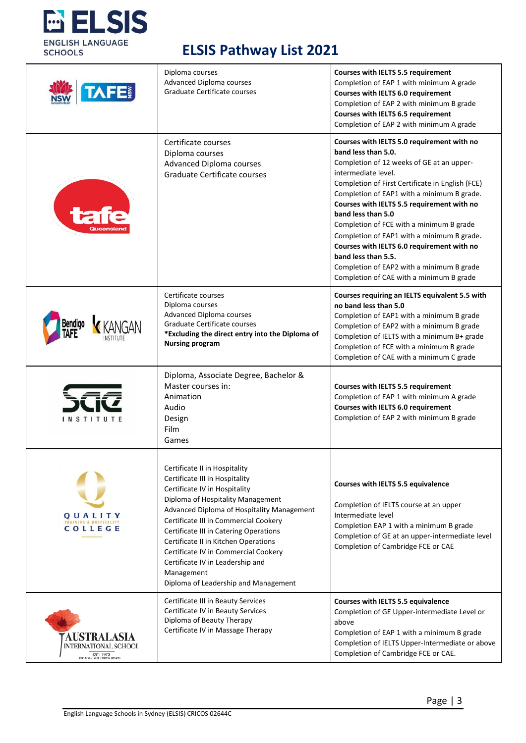

|                                                                                           | Diploma courses<br><b>Advanced Diploma courses</b><br>Graduate Certificate courses                                                                                                                                                                                                                                                                                                                                                               | <b>Courses with IELTS 5.5 requirement</b><br>Completion of EAP 1 with minimum A grade<br>Courses with IELTS 6.0 requirement<br>Completion of EAP 2 with minimum B grade<br>Courses with IELTS 6.5 requirement<br>Completion of EAP 2 with minimum A grade                                                                                                                                                                                                                                                                                                           |
|-------------------------------------------------------------------------------------------|--------------------------------------------------------------------------------------------------------------------------------------------------------------------------------------------------------------------------------------------------------------------------------------------------------------------------------------------------------------------------------------------------------------------------------------------------|---------------------------------------------------------------------------------------------------------------------------------------------------------------------------------------------------------------------------------------------------------------------------------------------------------------------------------------------------------------------------------------------------------------------------------------------------------------------------------------------------------------------------------------------------------------------|
|                                                                                           | Certificate courses<br>Diploma courses<br>Advanced Diploma courses<br>Graduate Certificate courses                                                                                                                                                                                                                                                                                                                                               | Courses with IELTS 5.0 requirement with no<br>band less than 5.0.<br>Completion of 12 weeks of GE at an upper-<br>intermediate level.<br>Completion of First Certificate in English (FCE)<br>Completion of EAP1 with a minimum B grade.<br>Courses with IELTS 5.5 requirement with no<br>band less than 5.0<br>Completion of FCE with a minimum B grade<br>Completion of EAP1 with a minimum B grade.<br>Courses with IELTS 6.0 requirement with no<br>band less than 5.5.<br>Completion of EAP2 with a minimum B grade<br>Completion of CAE with a minimum B grade |
|                                                                                           | Certificate courses<br>Diploma courses<br><b>Advanced Diploma courses</b><br>Graduate Certificate courses<br>*Excluding the direct entry into the Diploma of<br><b>Nursing program</b>                                                                                                                                                                                                                                                           | Courses requiring an IELTS equivalent 5.5 with<br>no band less than 5.0<br>Completion of EAP1 with a minimum B grade<br>Completion of EAP2 with a minimum B grade<br>Completion of IELTS with a minimum B+ grade<br>Completion of FCE with a minimum B grade<br>Completion of CAE with a minimum C grade                                                                                                                                                                                                                                                            |
| <b>INSTITUTE</b>                                                                          | Diploma, Associate Degree, Bachelor &<br>Master courses in:<br>Animation<br>Audio<br>Design<br>Film<br>Games                                                                                                                                                                                                                                                                                                                                     | Courses with IELTS 5.5 requirement<br>Completion of EAP 1 with minimum A grade<br>Courses with IELTS 6.0 requirement<br>Completion of EAP 2 with minimum B grade                                                                                                                                                                                                                                                                                                                                                                                                    |
| OUALITY<br>AINING & HOSPITALITY<br>COLLEGE                                                | Certificate II in Hospitality<br>Certificate III in Hospitality<br>Certificate IV in Hospitality<br>Diploma of Hospitality Management<br>Advanced Diploma of Hospitality Management<br>Certificate III in Commercial Cookery<br>Certificate III in Catering Operations<br>Certificate II in Kitchen Operations<br>Certificate IV in Commercial Cookery<br>Certificate IV in Leadership and<br>Management<br>Diploma of Leadership and Management | Courses with IELTS 5.5 equivalence<br>Completion of IELTS course at an upper<br>Intermediate level<br>Completion EAP 1 with a minimum B grade<br>Completion of GE at an upper-intermediate level<br>Completion of Cambridge FCE or CAE                                                                                                                                                                                                                                                                                                                              |
| <b>AUSTRALASIA</b><br>INTERNATIONAL SCHOOL<br>EST: $1973$<br>KTO CODE 6251 CRICOS: 02747G | Certificate III in Beauty Services<br>Certificate IV in Beauty Services<br>Diploma of Beauty Therapy<br>Certificate IV in Massage Therapy                                                                                                                                                                                                                                                                                                        | Courses with IELTS 5.5 equivalence<br>Completion of GE Upper-intermediate Level or<br>above<br>Completion of EAP 1 with a minimum B grade<br>Completion of IELTS Upper-Intermediate or above<br>Completion of Cambridge FCE or CAE.                                                                                                                                                                                                                                                                                                                                 |